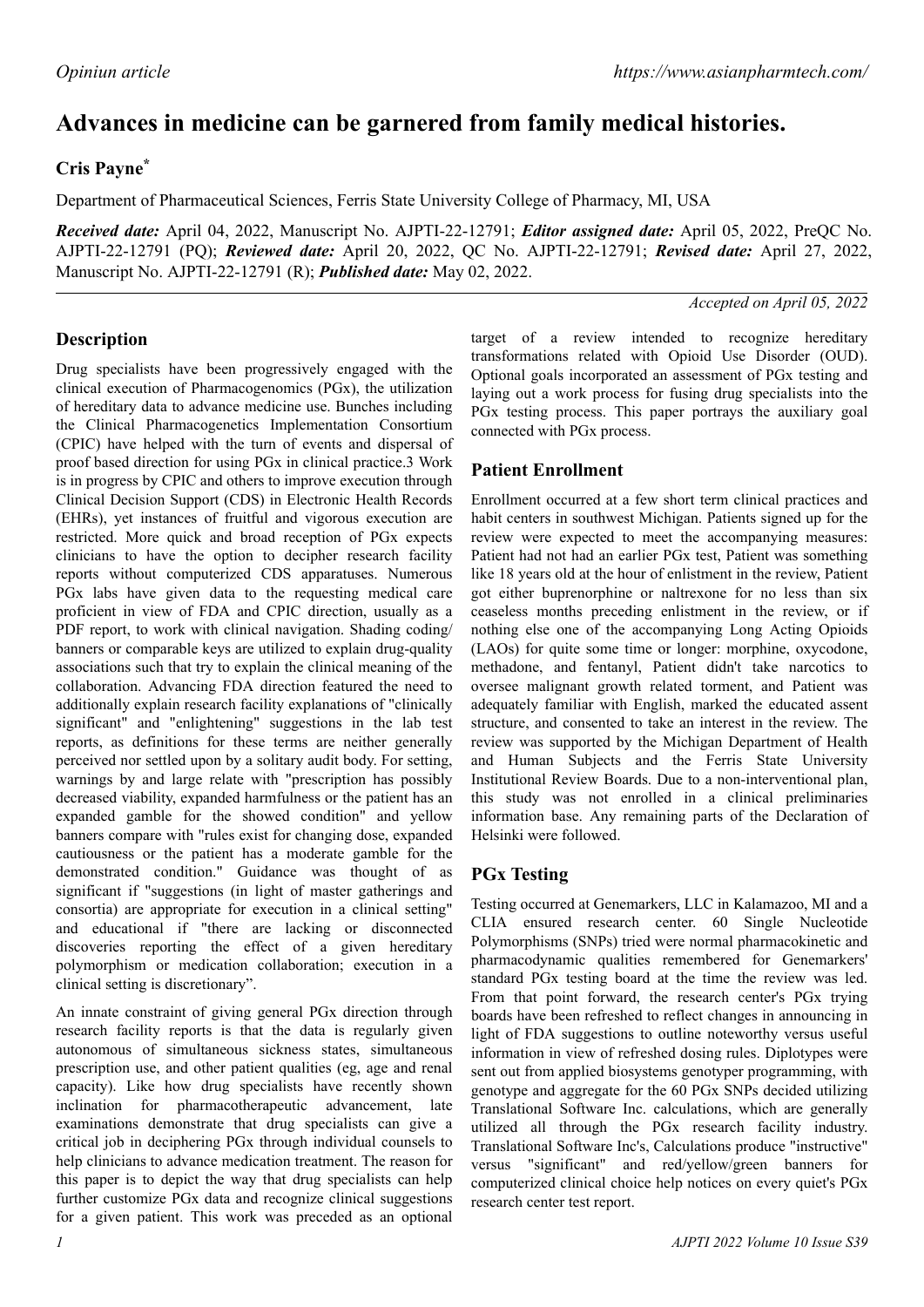# **Advances in medicine can be garnered from family medical histories.**

## **Cris Payne\***

Department of Pharmaceutical Sciences, Ferris State University College of Pharmacy, MI, USA

*Received date:* April 04, 2022, Manuscript No. AJPTI-22-12791; *Editor assigned date:* April 05, 2022, PreQC No. AJPTI-22-12791 (PQ); *Reviewed date:* April 20, 2022, QC No. AJPTI-22-12791; *Revised date:* April 27, 2022, Manuscript No. AJPTI-22-12791 (R); *Published date:* May 02, 2022.

*Accepted on April 05, 2022*

## **Description**

Drug specialists have been progressively engaged with the clinical execution of Pharmacogenomics (PGx), the utilization of hereditary data to advance medicine use. Bunches including the Clinical Pharmacogenetics Implementation Consortium (CPIC) have helped with the turn of events and dispersal of proof based direction for using PGx in clinical practice.3 Work is in progress by CPIC and others to improve execution through Clinical Decision Support (CDS) in Electronic Health Records (EHRs), yet instances of fruitful and vigorous execution are restricted. More quick and broad reception of PGx expects clinicians to have the option to decipher research facility reports without computerized CDS apparatuses. Numerous PGx labs have given data to the requesting medical care proficient in view of FDA and CPIC direction, usually as a PDF report, to work with clinical navigation. Shading coding/ banners or comparable keys are utilized to explain drug-quality associations such that try to explain the clinical meaning of the collaboration. Advancing FDA direction featured the need to additionally explain research facility explanations of "clinically significant" and "enlightening" suggestions in the lab test reports, as definitions for these terms are neither generally perceived nor settled upon by a solitary audit body. For setting, warnings by and large relate with "prescription has possibly decreased viability, expanded harmfulness or the patient has an expanded gamble for the showed condition" and yellow banners compare with "rules exist for changing dose, expanded cautiousness or the patient has a moderate gamble for the demonstrated condition." Guidance was thought of as significant if "suggestions (in light of master gatherings and consortia) are appropriate for execution in a clinical setting" and educational if "there are lacking or disconnected discoveries reporting the effect of a given hereditary polymorphism or medication collaboration; execution in a clinical setting is discretionary".

An innate constraint of giving general PGx direction through research facility reports is that the data is regularly given autonomous of simultaneous sickness states, simultaneous prescription use, and other patient qualities (eg, age and renal capacity). Like how drug specialists have recently shown inclination for pharmacotherapeutic advancement, late examinations demonstrate that drug specialists can give a critical job in deciphering PGx through individual counsels to help clinicians to advance medication treatment. The reason for this paper is to depict the way that drug specialists can help further customize PGx data and recognize clinical suggestions for a given patient. This work was preceded as an optional

target of a review intended to recognize hereditary transformations related with Opioid Use Disorder (OUD). Optional goals incorporated an assessment of PGx testing and laying out a work process for fusing drug specialists into the PGx testing process. This paper portrays the auxiliary goal connected with PGx process.

## **Patient Enrollment**

Enrollment occurred at a few short term clinical practices and habit centers in southwest Michigan. Patients signed up for the review were expected to meet the accompanying measures: Patient had not had an earlier PGx test, Patient was something like 18 years old at the hour of enlistment in the review, Patient got either buprenorphine or naltrexone for no less than six ceaseless months preceding enlistment in the review, or if nothing else one of the accompanying Long Acting Opioids (LAOs) for quite some time or longer: morphine, oxycodone, methadone, and fentanyl, Patient didn't take narcotics to oversee malignant growth related torment, and Patient was adequately familiar with English, marked the educated assent structure, and consented to take an interest in the review. The review was supported by the Michigan Department of Health and Human Subjects and the Ferris State University Institutional Review Boards. Due to a non-interventional plan, this study was not enrolled in a clinical preliminaries information base. Any remaining parts of the Declaration of Helsinki were followed.

#### **PGx Testing**

Testing occurred at Genemarkers, LLC in Kalamazoo, MI and a CLIA ensured research center. 60 Single Nucleotide Polymorphisms (SNPs) tried were normal pharmacokinetic and pharmacodynamic qualities remembered for Genemarkers' standard PGx testing board at the time the review was led. From that point forward, the research center's PGx trying boards have been refreshed to reflect changes in announcing in light of FDA suggestions to outline noteworthy versus useful information in view of refreshed dosing rules. Diplotypes were sent out from applied biosystems genotyper programming, with genotype and aggregate for the 60 PGx SNPs decided utilizing Translational Software Inc. calculations, which are generally utilized all through the PGx research facility industry. Translational Software Inc's, Calculations produce "instructive" versus "significant" and red/yellow/green banners for computerized clinical choice help notices on every quiet's PGx research center test report.